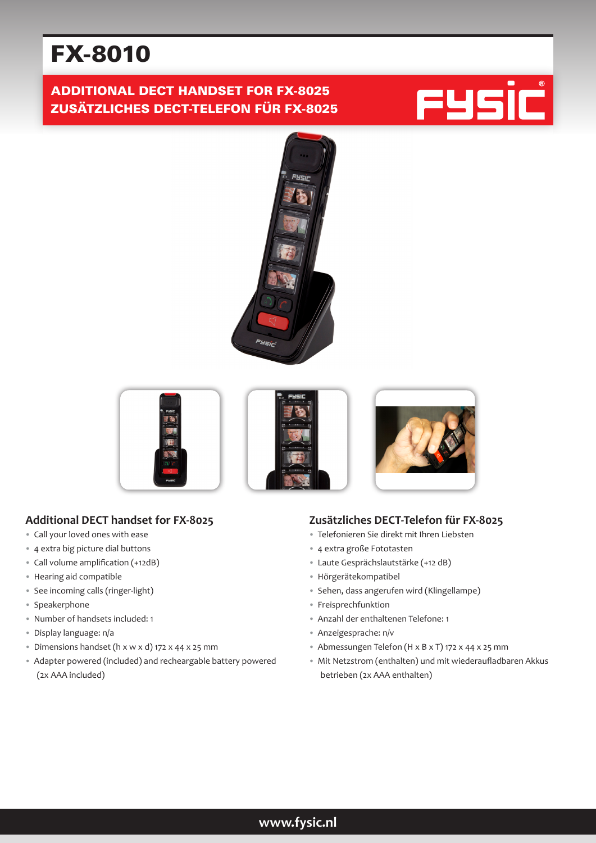# FX-8010

# ADDITIONAL DECT HANDSET FOR FX-8025 ZUSÄTZLICHES DECT-TELEFON FÜR FX-8025







## **Additional DECT handset for FX-8025**

- Call your loved ones with ease
- 4 extra big picture dial buttons
- Call volume amplification (+12dB)
- Hearing aid compatible
- See incoming calls (ringer-light)
- Speakerphone
- Number of handsets included: 1
- Display language: n/a
- Dimensions handset (h x w x d) 172 x 44 x 25 mm
- Adapter powered (included) and recheargable battery powered (2x AAA included)

### **Zusätzliches DECT-Telefon für FX-8025**

- Telefonieren Sie direkt mit Ihren Liebsten
- 4 extra große Fototasten
- Laute Gesprächslautstärke (+12 dB)
- Hörgerätekompatibel
- Sehen, dass angerufen wird (Klingellampe)
- Freisprechfunktion
- Anzahl der enthaltenen Telefone: 1
- Anzeigesprache: n/v
- Abmessungen Telefon (H x B x T) 172 x 44 x 25 mm
- Mit Netzstrom (enthalten) und mit wiederaufladbaren Akkus betrieben (2x AAA enthalten)

## **www.fysic.nl**